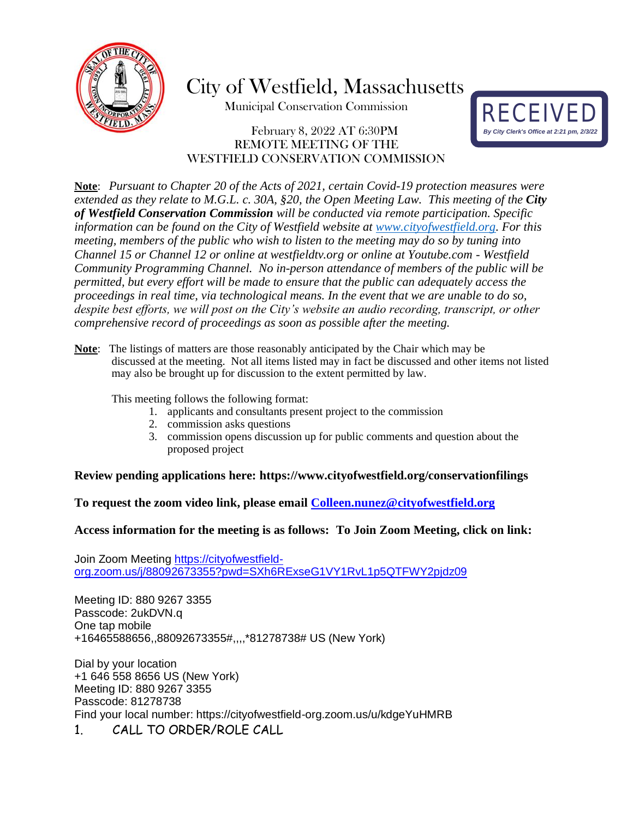

City of Westfield, Massachusetts

Municipal Conservation Commission

### February 8, 2022 AT 6:30PM REMOTE MEETING OF THE WESTFIELD CONSERVATION COMMISSION



**Note**: *Pursuant to Chapter 20 of the Acts of 2021, certain Covid-19 protection measures were extended as they relate to M.G.L. c. 30A, §20, the Open Meeting Law. This meeting of the City of Westfield Conservation Commission will be conducted via remote participation. Specific information can be found on the City of Westfield website at [www.cityofwestfield.org.](http://www.cityofwestfield.org/) For this meeting, members of the public who wish to listen to the meeting may do so by tuning into Channel 15 or Channel 12 or online at westfieldtv.org or online at Youtube.com - Westfield Community Programming Channel. No in-person attendance of members of the public will be permitted, but every effort will be made to ensure that the public can adequately access the proceedings in real time, via technological means. In the event that we are unable to do so, despite best efforts, we will post on the City's website an audio recording, transcript, or other comprehensive record of proceedings as soon as possible after the meeting.*

**Note**: The listings of matters are those reasonably anticipated by the Chair which may be discussed at the meeting. Not all items listed may in fact be discussed and other items not listed may also be brought up for discussion to the extent permitted by law.

This meeting follows the following format:

- 1. applicants and consultants present project to the commission
- 2. commission asks questions
- 3. commission opens discussion up for public comments and question about the proposed project

#### **Review pending applications here:<https://www.cityofwestfield.org/conservationfilings>**

**To request the zoom video link, please email [Colleen.nunez@cityo](mailto:Meredith.borenstein@cityofwestfield.org)fwestfield.org**

#### **Access information for the meeting is as follows: To Join Zoom Meeting, click on link:**

Join Zoom Meeting [https://cityofwestfield](https://cityofwestfield-org.zoom.us/j/88092673355?pwd=SXh6RExseG1VY1RvL1p5QTFWY2pjdz09)[org.zoom.us/j/88092673355?pwd=SXh6RExseG1VY1RvL1p5QTFWY2pjdz09](https://cityofwestfield-org.zoom.us/j/88092673355?pwd=SXh6RExseG1VY1RvL1p5QTFWY2pjdz09)

Meeting ID: 880 9267 3355 Passcode: 2ukDVN.q One tap mobile +16465588656,,88092673355#,,,,\*81278738# US (New York)

Dial by your location +1 646 558 8656 US (New York) Meeting ID: 880 9267 3355 Passcode: 81278738 Find your local number: https://cityofwestfield-org.zoom.us/u/kdgeYuHMRB 1. CALL TO ORDER/ROLE CALL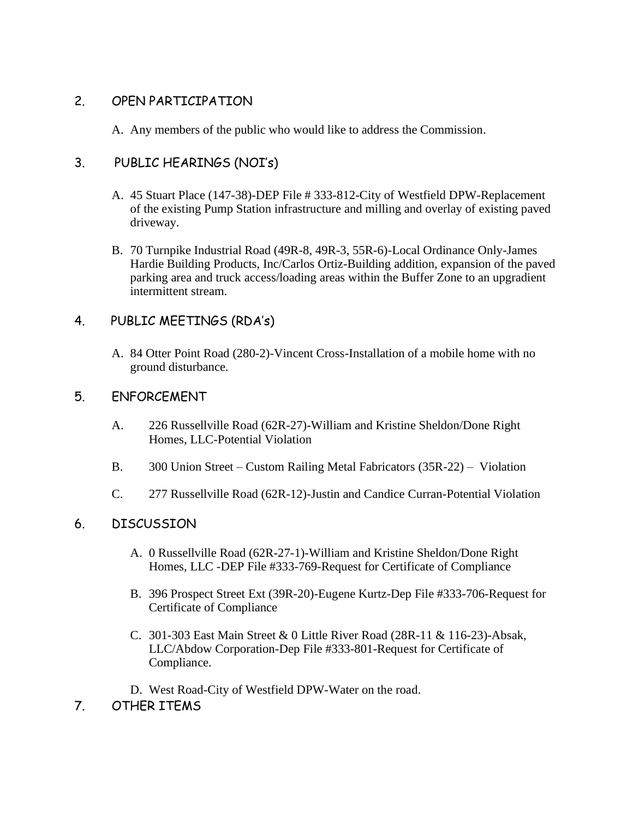## 2. OPEN PARTICIPATION

A. Any members of the public who would like to address the Commission.

# 3. PUBLIC HEARINGS (NOI's)

- A. 45 Stuart Place (147-38)-DEP File # 333-812-City of Westfield DPW-Replacement of the existing Pump Station infrastructure and milling and overlay of existing paved driveway.
- B. 70 Turnpike Industrial Road (49R-8, 49R-3, 55R-6)-Local Ordinance Only-James Hardie Building Products, Inc/Carlos Ortiz-Building addition, expansion of the paved parking area and truck access/loading areas within the Buffer Zone to an upgradient intermittent stream.

# 4. PUBLIC MEETINGS (RDA's)

A. 84 Otter Point Road (280-2)-Vincent Cross-Installation of a mobile home with no ground disturbance.

## 5. ENFORCEMENT

- A. 226 Russellville Road (62R-27)-William and Kristine Sheldon/Done Right Homes, LLC-Potential Violation
- B. 300 Union Street Custom Railing Metal Fabricators (35R-22) Violation
- C. 277 Russellville Road (62R-12)-Justin and Candice Curran-Potential Violation

## 6. DISCUSSION

- A. 0 Russellville Road (62R-27-1)-William and Kristine Sheldon/Done Right Homes, LLC -DEP File #333-769-Request for Certificate of Compliance
- B. 396 Prospect Street Ext (39R-20)-Eugene Kurtz-Dep File #333-706-Request for Certificate of Compliance
- C. 301-303 East Main Street & 0 Little River Road (28R-11 & 116-23)-Absak, LLC/Abdow Corporation-Dep File #333-801-Request for Certificate of Compliance.
- D. West Road-City of Westfield DPW-Water on the road.
- 7. OTHER ITEMS